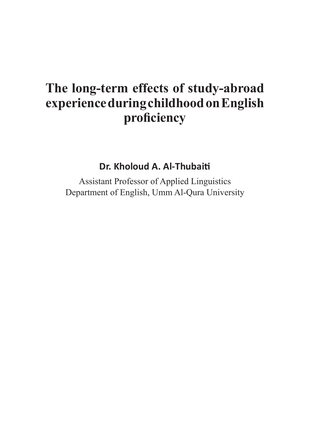# **The long-term effects of study-abroad experience during childhood on English proficiency**

**Dr. Kholoud A. Al-Thubaiti**

Assistant Professor of Applied Linguistics Department of English, Umm Al-Qura University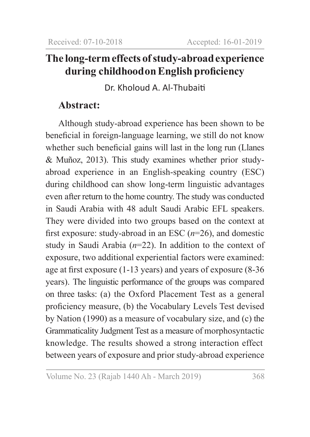# **The long-term effects of study-abroad experience during childhood on English proficiency**

Dr. Kholoud A. Al-Thubaiti

# **Abstract:**

Although study-abroad experience has been shown to be beneficial in foreign-language learning, we still do not know whether such beneficial gains will last in the long run (Llanes & Muñoz, 2013). This study examines whether prior studyabroad experience in an English-speaking country (ESC) during childhood can show long-term linguistic advantages even after return to the home country. The study was conducted in Saudi Arabia with 48 adult Saudi Arabic EFL speakers. They were divided into two groups based on the context at first exposure: study-abroad in an ESC (*n*=26), and domestic study in Saudi Arabia (*n*=22). In addition to the context of exposure, two additional experiential factors were examined: age at first exposure (1-13 years) and years of exposure (8-36 years). The linguistic performance of the groups was compared on three tasks: (a) the Oxford Placement Test as a general proficiency measure, (b) the Vocabulary Levels Test devised by Nation (1990) as a measure of vocabulary size, and (c) the Grammaticality Judgment Test as a measure of morphosyntactic knowledge. The results showed a strong interaction effect between years of exposure and prior study-abroad experience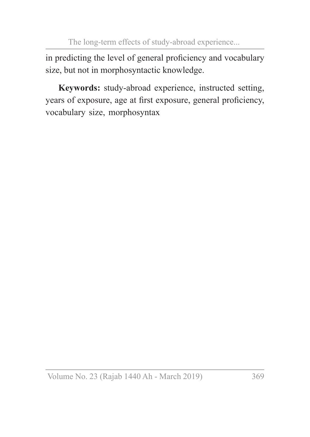in predicting the level of general proficiency and vocabulary size, but not in morphosyntactic knowledge.

**Keywords:** study-abroad experience, instructed setting, years of exposure, age at first exposure, general proficiency, vocabulary size, morphosyntax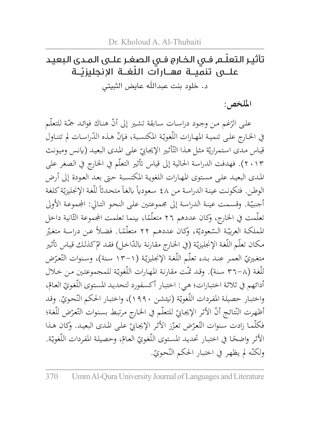# ّ تأثيـر التعلـم فـي الخـارج فـي الصغـر علـى المـدى البعيـد علـــى تنميــة مهــارات اللّغــة الإنجليزيــة د. خلود بنت عبدالله عايض الثبيتي

### **امللخص:**

على الرّغم من وجود دراسـات سـابقة تشـير إلى أنّ هنـاك فوائـد جمّة للتعلّم<br>المساحدة في الخـارج علـى تنميـة المهـارات اللّغويّـة المكتسـبة، فـإنّ هـذه الدّراسـات لم تتنـاول<br>-قياس مدى استمراريّة مثل هذا التّأثير الإيجابيّ على المدى البعيد (يانس وميونث<br>كيف المستمراريّة مثل هذا التّأثير الإيجابيّ على الّمسيّانيّة من الله عنه الله عنه الله عنه الله عنه الله 2013(. فهدفت الدراسـة احلالية إىل قياس أتثري التعلّم يف اخلارج يف الصغر على املـدى البعيـد علـى مسـتوى املهـارات اللغويـة املكتسـبة حـى بعـد العـودة إىل أرض الوطن. فتكونت عينة الدراسة من ٤٨ سعودياً بالغاً متحدثاً للغة الإنجليزيّة كلغة<br>ء أجنبيّة. وقسمت عينة الدراسة إلى مجموعتين على النحو التالي: المجموعة الأولى<br>أ تعلّمت في الخارج، وكان عددهم ٢٦ متعلّمًا، بينما تعلمت المجموعة الثّانية داخل<br>مدير من ّ ً عـن دراسـة متغـر ًـا. فضـا ّة، وكان عددهـم 22 متعلّم ّـعودي ّـة الس اململكـة العربي مكان تعلّم اللّغة الإنجليزيّة (في الخـارج مقارنـة بالدّاخـل) فقـد تمّ كذلك قياس تأثير<br>. متغيريّ العمر عنـد بـدء تعلّـم اللّغـة الإنجليزيّـة (١-١٣ سنة)، وسنوات التّعرّض<br>" للّغة (٣٦-٨ سنة). وقد تمّت مقارنة المهارات اللّغويّة للمجموعتين من خلال<br>ء أدائهم في ثلاثة اختبارات؛ هي: اختبار أكسفورد لتحديد المستوى اللّغويّ العامّ،<br>. واختبار حصيلة المفردات اللّغويّة (نيئشن ١٩٩٠)، واختبار الحكم النّحويّ. وقد<br>مُردّعته السّمت عُسّمته من اللّغويّة (نيئت أظهرت النّتائج أنّ الأثر الإيجابيّ للتعلّم في الخارج مرتبط بسنوات التّعرّض للّغة؛<br>يحدّ من السّلاب فكلّمـا زادت سنوات التّعرّض تعزّز الأثر الإيجابيّ على المدى البعيـد. وكان هـذا<br>نائمني من تصويف من تسمّن من السّنة ّـة. ،ّ وحصيلـة املفـردات اللّغوي ّ العـام ًـا يف اختبـار حتديـد املسـتوى اللّغـوي األثـر واضح ولكنّه لم يظهر في اختبار الحكم النّحويّ.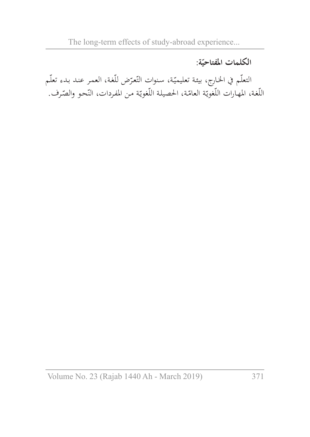# **ّة**: **الكلمات املفتاحي**

التعلّـم في الخـارج، بيئـة تعليميّـة، سنوات التّعرّض للّغة، العمـر عنـد بـدء تعلّـم<br>التعلّـم بن الله عليّـم الله عليّـم الله عليّـم الله عنه الله عنه عند الله عنه الله عنه الله عنه الله عنه الله اللّغة، المهارات اللّغويّة العامّة، الحصيلة اللّغويّة من المفردات، النّحو والصّرف.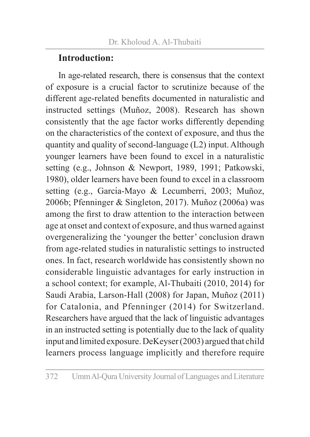# **Introduction:**

In age-related research, there is consensus that the context of exposure is a crucial factor to scrutinize because of the different age-related benefits documented in naturalistic and instructed settings (Muñoz, 2008). Research has shown consistently that the age factor works differently depending on the characteristics of the context of exposure, and thus the quantity and quality of second-language (L2) input. Although younger learners have been found to excel in a naturalistic setting (e.g., Johnson & Newport, 1989, 1991; Patkowski, 1980), older learners have been found to excel in a classroom setting (e.g., García-Mayo & Lecumberri, 2003; Muñoz, 2006b; Pfenninger & Singleton, 2017). Muñoz (2006a) was among the first to draw attention to the interaction between age at onset and context of exposure, and thus warned against overgeneralizing the 'younger the better' conclusion drawn from age-related studies in naturalistic settings to instructed ones. In fact, research worldwide has consistently shown no considerable linguistic advantages for early instruction in a school context; for example, Al-Thubaiti (2010, 2014) for Saudi Arabia, Larson-Hall (2008) for Japan, Muñoz (2011) for Catalonia, and Pfenninger (2014) for Switzerland. Researchers have argued that the lack of linguistic advantages in an instructed setting is potentially due to the lack of quality input and limited exposure. DeKeyser (2003) argued that child learners process language implicitly and therefore require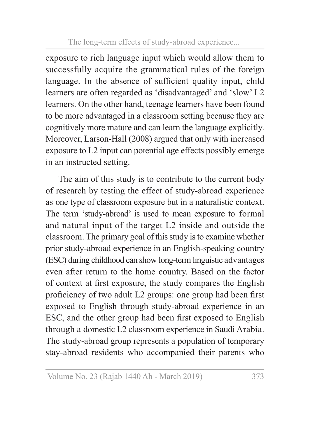exposure to rich language input which would allow them to successfully acquire the grammatical rules of the foreign language. In the absence of sufficient quality input, child learners are often regarded as 'disadvantaged' and 'slow' L2 learners. On the other hand, teenage learners have been found to be more advantaged in a classroom setting because they are cognitively more mature and can learn the language explicitly. Moreover, Larson-Hall (2008) argued that only with increased exposure to L2 input can potential age effects possibly emerge in an instructed setting.

The aim of this study is to contribute to the current body of research by testing the effect of study-abroad experience as one type of classroom exposure but in a naturalistic context. The term 'study-abroad' is used to mean exposure to formal and natural input of the target L2 inside and outside the classroom. The primary goal of this study is to examine whether prior study-abroad experience in an English-speaking country (ESC) during childhood can show long-term linguistic advantages even after return to the home country. Based on the factor of context at first exposure, the study compares the English proficiency of two adult L2 groups: one group had been first exposed to English through study-abroad experience in an ESC, and the other group had been first exposed to English through a domestic L2 classroom experience in Saudi Arabia. The study-abroad group represents a population of temporary stay-abroad residents who accompanied their parents who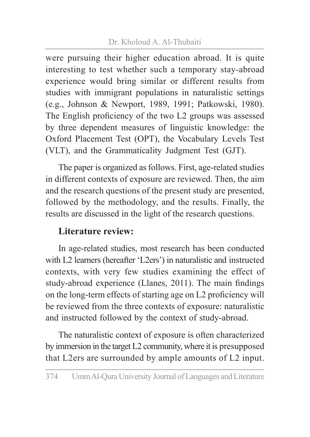### Dr. Kholoud A. Al-Thubaiti

were pursuing their higher education abroad. It is quite interesting to test whether such a temporary stay-abroad experience would bring similar or different results from studies with immigrant populations in naturalistic settings (e.g., Johnson & Newport, 1989, 1991; Patkowski, 1980). The English proficiency of the two L2 groups was assessed by three dependent measures of linguistic knowledge: the Oxford Placement Test (OPT), the Vocabulary Levels Test (VLT), and the Grammaticality Judgment Test (GJT).

The paper is organized as follows. First, age-related studies in different contexts of exposure are reviewed. Then, the aim and the research questions of the present study are presented, followed by the methodology, and the results. Finally, the results are discussed in the light of the research questions.

# **Literature review:**

In age-related studies, most research has been conducted with L2 learners (hereafter 'L2ers') in naturalistic and instructed contexts, with very few studies examining the effect of study-abroad experience (Llanes, 2011). The main findings on the long-term effects of starting age on L2 proficiency will be reviewed from the three contexts of exposure: naturalistic and instructed followed by the context of study-abroad.

The naturalistic context of exposure is often characterized by immersion in the target L2 community, where it is presupposed that L2ers are surrounded by ample amounts of L2 input.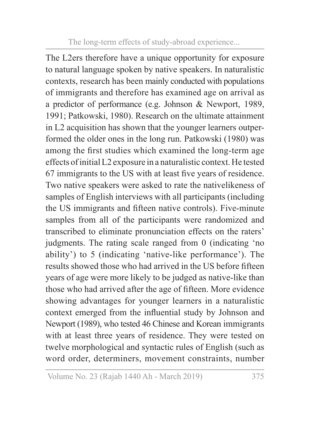The L2ers therefore have a unique opportunity for exposure to natural language spoken by native speakers. In naturalistic contexts, research has been mainly conducted with populations of immigrants and therefore has examined age on arrival as a predictor of performance (e.g. Johnson & Newport, 1989, 1991; Patkowski, 1980). Research on the ultimate attainment in L2 acquisition has shown that the younger learners outperformed the older ones in the long run. Patkowski (1980) was among the first studies which examined the long-term age effects of initial L2 exposure in a naturalistic context. He tested 67 immigrants to the US with at least five years of residence. Two native speakers were asked to rate the nativelikeness of samples of English interviews with all participants (including the US immigrants and fifteen native controls). Five-minute samples from all of the participants were randomized and transcribed to eliminate pronunciation effects on the raters' judgments. The rating scale ranged from 0 (indicating 'no ability') to 5 (indicating 'native-like performance'). The results showed those who had arrived in the US before fifteen years of age were more likely to be judged as native-like than those who had arrived after the age of fifteen. More evidence showing advantages for younger learners in a naturalistic context emerged from the influential study by Johnson and Newport (1989), who tested 46 Chinese and Korean immigrants with at least three years of residence. They were tested on twelve morphological and syntactic rules of English (such as word order, determiners, movement constraints, number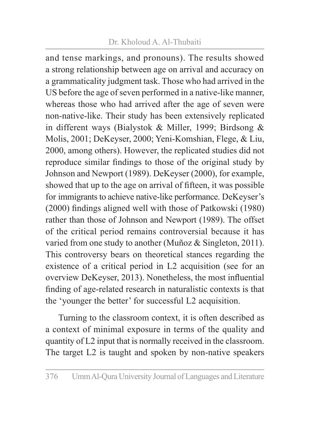### Dr. Kholoud A. Al-Thubaiti

and tense markings, and pronouns). The results showed a strong relationship between age on arrival and accuracy on a grammaticality judgment task. Those who had arrived in the US before the age of seven performed in a native-like manner, whereas those who had arrived after the age of seven were non-native-like. Their study has been extensively replicated in different ways (Bialystok & Miller, 1999; Birdsong & Molis, 2001; DeKeyser, 2000; Yeni-Komshian, Flege, & Liu, 2000, among others). However, the replicated studies did not reproduce similar findings to those of the original study by Johnson and Newport (1989). DeKeyser (2000), for example, showed that up to the age on arrival of fifteen, it was possible for immigrants to achieve native-like performance. DeKeyser's (2000) findings aligned well with those of Patkowski (1980) rather than those of Johnson and Newport (1989). The offset of the critical period remains controversial because it has varied from one study to another (Muñoz & Singleton, 2011). This controversy bears on theoretical stances regarding the existence of a critical period in L2 acquisition (see for an overview DeKeyser, 2013). Nonetheless, the most influential finding of age-related research in naturalistic contexts is that the 'younger the better' for successful L2 acquisition.

Turning to the classroom context, it is often described as a context of minimal exposure in terms of the quality and quantity of L2 input that is normally received in the classroom. The target L2 is taught and spoken by non-native speakers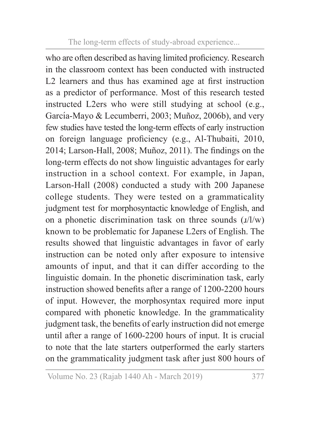who are often described as having limited proficiency. Research in the classroom context has been conducted with instructed L2 learners and thus has examined age at first instruction as a predictor of performance. Most of this research tested instructed L2ers who were still studying at school (e.g., García-Mayo & Lecumberri, 2003; Muñoz, 2006b), and very few studies have tested the long-term effects of early instruction on foreign language proficiency (e.g., Al-Thubaiti, 2010, 2014; Larson-Hall, 2008; Muñoz, 2011). The findings on the long-term effects do not show linguistic advantages for early instruction in a school context. For example, in Japan, Larson-Hall (2008) conducted a study with 200 Japanese college students. They were tested on a grammaticality judgment test for morphosyntactic knowledge of English, and on a phonetic discrimination task on three sounds  $(\frac{1}{w})$ known to be problematic for Japanese L2ers of English. The results showed that linguistic advantages in favor of early instruction can be noted only after exposure to intensive amounts of input, and that it can differ according to the linguistic domain. In the phonetic discrimination task, early instruction showed benefits after a range of 1200-2200 hours of input. However, the morphosyntax required more input compared with phonetic knowledge. In the grammaticality judgment task, the benefits of early instruction did not emerge until after a range of 1600-2200 hours of input. It is crucial to note that the late starters outperformed the early starters on the grammaticality judgment task after just 800 hours of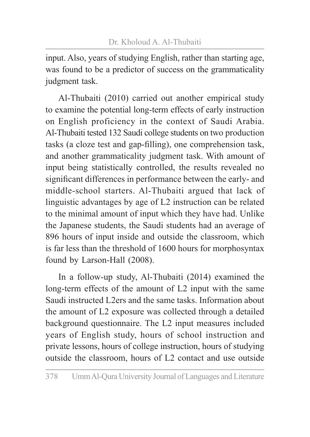input. Also, years of studying English, rather than starting age, was found to be a predictor of success on the grammaticality judgment task.

Al-Thubaiti (2010) carried out another empirical study to examine the potential long-term effects of early instruction on English proficiency in the context of Saudi Arabia. Al-Thubaiti tested 132 Saudi college students on two production tasks (a cloze test and gap-filling), one comprehension task, and another grammaticality judgment task. With amount of input being statistically controlled, the results revealed no significant differences in performance between the early- and middle-school starters. Al-Thubaiti argued that lack of linguistic advantages by age of L2 instruction can be related to the minimal amount of input which they have had. Unlike the Japanese students, the Saudi students had an average of 896 hours of input inside and outside the classroom, which is far less than the threshold of 1600 hours for morphosyntax found by Larson-Hall (2008).

In a follow-up study, Al-Thubaiti (2014) examined the long-term effects of the amount of L2 input with the same Saudi instructed L2ers and the same tasks. Information about the amount of L2 exposure was collected through a detailed background questionnaire. The L2 input measures included years of English study, hours of school instruction and private lessons, hours of college instruction, hours of studying outside the classroom, hours of L2 contact and use outside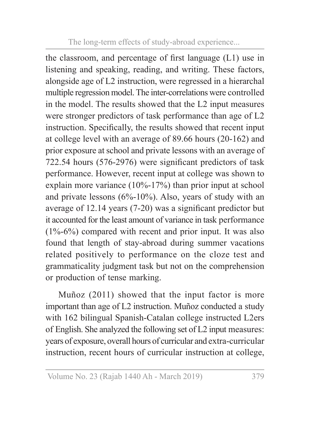the classroom, and percentage of first language (L1) use in listening and speaking, reading, and writing. These factors, alongside age of L2 instruction, were regressed in a hierarchal multiple regression model. The inter-correlations were controlled in the model. The results showed that the L2 input measures were stronger predictors of task performance than age of L2 instruction. Specifically, the results showed that recent input at college level with an average of 89.66 hours (20-162) and prior exposure at school and private lessons with an average of 722.54 hours (576-2976) were significant predictors of task performance. However, recent input at college was shown to explain more variance (10%-17%) than prior input at school and private lessons  $(6\% - 10\%)$ . Also, years of study with an average of 12.14 years (7-20) was a significant predictor but it accounted for the least amount of variance in task performance  $(1\% - 6\%)$  compared with recent and prior input. It was also found that length of stay-abroad during summer vacations related positively to performance on the cloze test and grammaticality judgment task but not on the comprehension or production of tense marking.

Muñoz (2011) showed that the input factor is more important than age of L2 instruction. Muñoz conducted a study with 162 bilingual Spanish-Catalan college instructed L2ers of English. She analyzed the following set of L2 input measures: years of exposure, overall hours of curricular and extra-curricular instruction, recent hours of curricular instruction at college,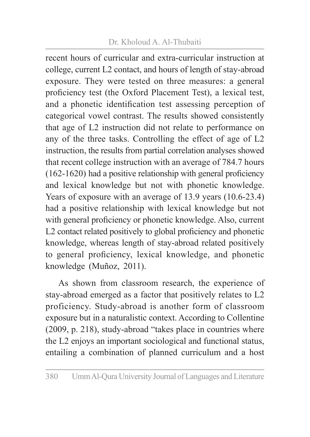### Dr. Kholoud A. Al-Thubaiti

recent hours of curricular and extra-curricular instruction at college, current L2 contact, and hours of length of stay-abroad exposure. They were tested on three measures: a general proficiency test (the Oxford Placement Test), a lexical test, and a phonetic identification test assessing perception of categorical vowel contrast. The results showed consistently that age of L2 instruction did not relate to performance on any of the three tasks. Controlling the effect of age of L2 instruction, the results from partial correlation analyses showed that recent college instruction with an average of 784.7 hours (162-1620) had a positive relationship with general proficiency and lexical knowledge but not with phonetic knowledge. Years of exposure with an average of 13.9 years (10.6-23.4) had a positive relationship with lexical knowledge but not with general proficiency or phonetic knowledge. Also, current L2 contact related positively to global proficiency and phonetic knowledge, whereas length of stay-abroad related positively to general proficiency, lexical knowledge, and phonetic knowledge (Muñoz, 2011).

As shown from classroom research, the experience of stay-abroad emerged as a factor that positively relates to L2 proficiency. Study-abroad is another form of classroom exposure but in a naturalistic context. According to Collentine (2009, p. 218), study-abroad "takes place in countries where the L2 enjoys an important sociological and functional status, entailing a combination of planned curriculum and a host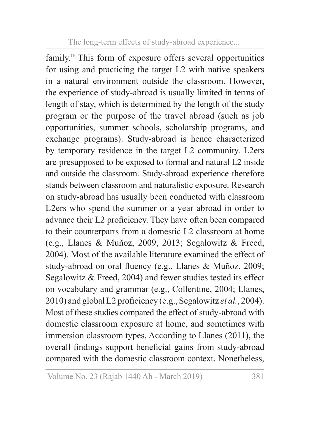family." This form of exposure offers several opportunities for using and practicing the target L2 with native speakers in a natural environment outside the classroom. However, the experience of study-abroad is usually limited in terms of length of stay, which is determined by the length of the study program or the purpose of the travel abroad (such as job opportunities, summer schools, scholarship programs, and exchange programs). Study-abroad is hence characterized by temporary residence in the target L2 community. L2ers are presupposed to be exposed to formal and natural L2 inside and outside the classroom. Study-abroad experience therefore stands between classroom and naturalistic exposure. Research on study-abroad has usually been conducted with classroom L2ers who spend the summer or a year abroad in order to advance their L2 proficiency. They have often been compared to their counterparts from a domestic L2 classroom at home (e.g., Llanes & Muñoz, 2009, 2013; Segalowitz & Freed, 2004). Most of the available literature examined the effect of study-abroad on oral fluency (e.g., Llanes & Muñoz, 2009; Segalowitz & Freed, 2004) and fewer studies tested its effect on vocabulary and grammar (e.g., Collentine, 2004; Llanes, 2010) and global L2 proficiency (e.g., Segalowitz *et al.*, 2004). Most of these studies compared the effect of study-abroad with domestic classroom exposure at home, and sometimes with immersion classroom types. According to Llanes (2011), the overall findings support beneficial gains from study-abroad compared with the domestic classroom context. Nonetheless,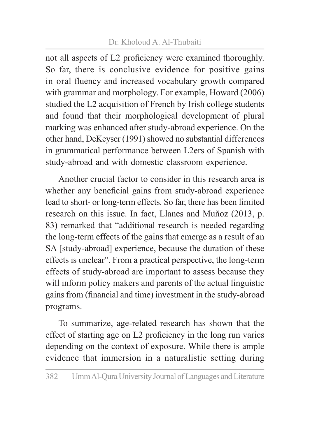### Dr. Kholoud A. Al-Thubaiti

not all aspects of L2 proficiency were examined thoroughly. So far, there is conclusive evidence for positive gains in oral fluency and increased vocabulary growth compared with grammar and morphology. For example, Howard (2006) studied the L2 acquisition of French by Irish college students and found that their morphological development of plural marking was enhanced after study-abroad experience. On the other hand, DeKeyser (1991) showed no substantial differences in grammatical performance between L2ers of Spanish with study-abroad and with domestic classroom experience.

Another crucial factor to consider in this research area is whether any beneficial gains from study-abroad experience lead to short- or long-term effects. So far, there has been limited research on this issue. In fact, Llanes and Muñoz (2013, p. 83) remarked that "additional research is needed regarding the long-term effects of the gains that emerge as a result of an SA [study-abroad] experience, because the duration of these effects is unclear". From a practical perspective, the long-term effects of study-abroad are important to assess because they will inform policy makers and parents of the actual linguistic gains from (financial and time) investment in the study-abroad programs.

To summarize, age-related research has shown that the effect of starting age on L2 proficiency in the long run varies depending on the context of exposure. While there is ample evidence that immersion in a naturalistic setting during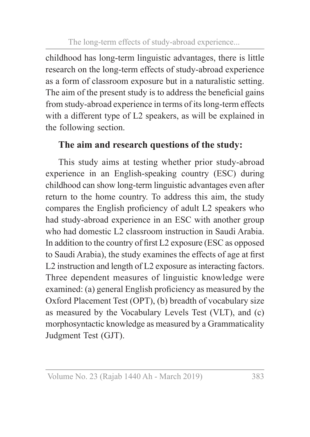childhood has long-term linguistic advantages, there is little research on the long-term effects of study-abroad experience as a form of classroom exposure but in a naturalistic setting. The aim of the present study is to address the beneficial gains from study-abroad experience in terms of its long-term effects with a different type of L2 speakers, as will be explained in the following section.

# **The aim and research questions of the study:**

This study aims at testing whether prior study-abroad experience in an English-speaking country (ESC) during childhood can show long-term linguistic advantages even after return to the home country. To address this aim, the study compares the English proficiency of adult L2 speakers who had study-abroad experience in an ESC with another group who had domestic L2 classroom instruction in Saudi Arabia. In addition to the country of first L2 exposure (ESC as opposed to Saudi Arabia), the study examines the effects of age at first L2 instruction and length of L2 exposure as interacting factors. Three dependent measures of linguistic knowledge were examined: (a) general English proficiency as measured by the Oxford Placement Test (OPT), (b) breadth of vocabulary size as measured by the Vocabulary Levels Test (VLT), and (c) morphosyntactic knowledge as measured by a Grammaticality Judgment Test (GJT).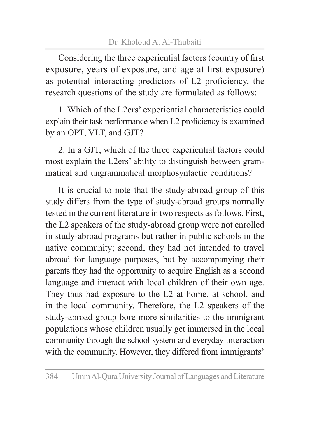Considering the three experiential factors (country of first exposure, years of exposure, and age at first exposure) as potential interacting predictors of L2 proficiency, the research questions of the study are formulated as follows:

1. Which of the L2ers' experiential characteristics could explain their task performance when L2 proficiency is examined by an OPT, VLT, and GJT?

2. In a GJT, which of the three experiential factors could most explain the L2ers' ability to distinguish between grammatical and ungrammatical morphosyntactic conditions?

It is crucial to note that the study-abroad group of this study differs from the type of study-abroad groups normally tested in the current literature in two respects as follows. First, the L2 speakers of the study-abroad group were not enrolled in study-abroad programs but rather in public schools in the native community; second, they had not intended to travel abroad for language purposes, but by accompanying their parents they had the opportunity to acquire English as a second language and interact with local children of their own age. They thus had exposure to the L2 at home, at school, and in the local community. Therefore, the L2 speakers of the study-abroad group bore more similarities to the immigrant populations whose children usually get immersed in the local community through the school system and everyday interaction with the community. However, they differed from immigrants'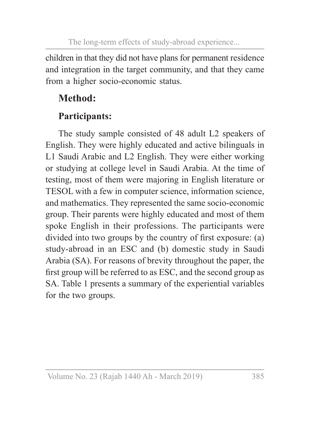children in that they did not have plans for permanent residence and integration in the target community, and that they came from a higher socio-economic status.

# **Method:**

# **Participants:**

The study sample consisted of 48 adult L2 speakers of English. They were highly educated and active bilinguals in L1 Saudi Arabic and L2 English. They were either working or studying at college level in Saudi Arabia. At the time of testing, most of them were majoring in English literature or TESOL with a few in computer science, information science, and mathematics. They represented the same socio-economic group. Their parents were highly educated and most of them spoke English in their professions. The participants were divided into two groups by the country of first exposure: (a) study-abroad in an ESC and (b) domestic study in Saudi Arabia (SA). For reasons of brevity throughout the paper, the first group will be referred to as ESC, and the second group as SA. Table 1 presents a summary of the experiential variables for the two groups.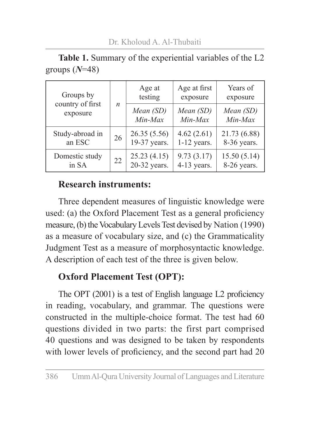| Groups by<br>country of first<br>exposure |                  | Age at<br>testing    | Age at first<br>exposure | Years of<br>exposure |
|-------------------------------------------|------------------|----------------------|--------------------------|----------------------|
|                                           | $\boldsymbol{n}$ | Mean (SD)<br>Min-Max | Mean (SD)<br>Min-Max     | Mean (SD)<br>Min-Max |
| Study-abroad in                           | 26               | 26.35(5.56)          | 4.62(2.61)               | 21.73 (6.88)         |
| an ESC                                    |                  | 19-37 years.         | $1-12$ years.            | 8-36 years.          |
| Domestic study                            | 22               | 25.23(4.15)          | 9.73(3.17)               | 15.50(5.14)          |
| in SA                                     |                  | 20-32 years.         | $4-13$ years.            | 8-26 years.          |

**Table 1.** Summary of the experiential variables of the L2 groups (*N*=48)

#### **Research instruments:**

Three dependent measures of linguistic knowledge were used: (a) the Oxford Placement Test as a general proficiency measure, (b) the Vocabulary Levels Test devised by Nation (1990) as a measure of vocabulary size, and (c) the Grammaticality Judgment Test as a measure of morphosyntactic knowledge. A description of each test of the three is given below.

# **Oxford Placement Test (OPT):**

The OPT (2001) is a test of English language L2 proficiency in reading, vocabulary, and grammar. The questions were constructed in the multiple-choice format. The test had 60 questions divided in two parts: the first part comprised 40 questions and was designed to be taken by respondents with lower levels of proficiency, and the second part had 20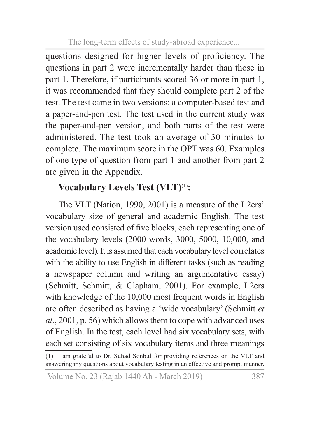questions designed for higher levels of proficiency. The questions in part 2 were incrementally harder than those in part 1. Therefore, if participants scored 36 or more in part 1, it was recommended that they should complete part 2 of the test. The test came in two versions: a computer-based test and a paper-and-pen test. The test used in the current study was the paper-and-pen version, and both parts of the test were administered. The test took an average of 30 minutes to complete. The maximum score in the OPT was 60. Examples of one type of question from part 1 and another from part 2 are given in the Appendix.

# **Vocabulary Levels Test (VLT)**(1)**:**

The VLT (Nation, 1990, 2001) is a measure of the L2ers' vocabulary size of general and academic English. The test version used consisted of five blocks, each representing one of the vocabulary levels (2000 words, 3000, 5000, 10,000, and academic level). It is assumed that each vocabulary level correlates with the ability to use English in different tasks (such as reading a newspaper column and writing an argumentative essay) (Schmitt, Schmitt, & Clapham, 2001). For example, L2ers with knowledge of the 10,000 most frequent words in English are often described as having a 'wide vocabulary' (Schmitt *et al*., 2001, p. 56) which allows them to cope with advanced uses of English. In the test, each level had six vocabulary sets, with each set consisting of six vocabulary items and three meanings

<sup>(1)</sup> I am grateful to Dr. Suhad Sonbul for providing references on the VLT and answering my questions about vocabulary testing in an effective and prompt manner.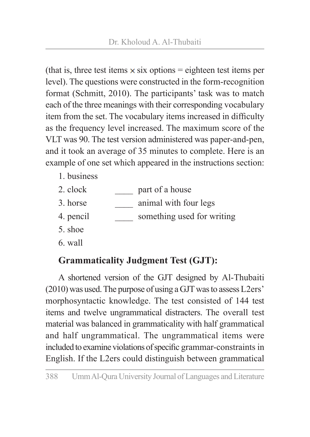(that is, three test items  $\times$  six options = eighteen test items per level). The questions were constructed in the form-recognition format (Schmitt, 2010). The participants' task was to match each of the three meanings with their corresponding vocabulary item from the set. The vocabulary items increased in difficulty as the frequency level increased. The maximum score of the VLT was 90. The test version administered was paper-and-pen, and it took an average of 35 minutes to complete. Here is an example of one set which appeared in the instructions section:

- 1. business
- 2. clock part of a house
- 3. horse animal with four legs
- 4. pencil something used for writing
- 5. shoe
- 6. wall

# **Grammaticality Judgment Test (GJT):**

A shortened version of the GJT designed by Al-Thubaiti (2010) was used. The purpose of using a GJT was to assess L2ers' morphosyntactic knowledge. The test consisted of 144 test items and twelve ungrammatical distracters. The overall test material was balanced in grammaticality with half grammatical and half ungrammatical. The ungrammatical items were included to examine violations of specific grammar-constraints in English. If the L2ers could distinguish between grammatical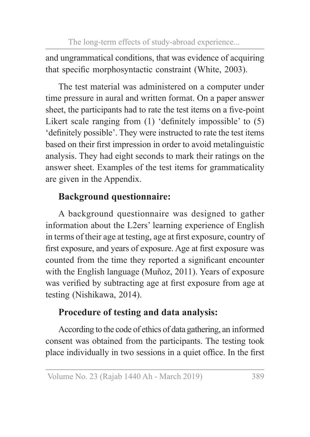and ungrammatical conditions, that was evidence of acquiring that specific morphosyntactic constraint (White, 2003).

The test material was administered on a computer under time pressure in aural and written format. On a paper answer sheet, the participants had to rate the test items on a five-point Likert scale ranging from (1) 'definitely impossible' to (5) 'definitely possible'. They were instructed to rate the test items based on their first impression in order to avoid metalinguistic analysis. They had eight seconds to mark their ratings on the answer sheet. Examples of the test items for grammaticality are given in the Appendix.

# **Background questionnaire:**

A background questionnaire was designed to gather information about the L2ers' learning experience of English in terms of their age at testing, age at first exposure, country of first exposure, and years of exposure. Age at first exposure was counted from the time they reported a significant encounter with the English language (Muñoz, 2011). Years of exposure was verified by subtracting age at first exposure from age at testing (Nishikawa, 2014).

# **Procedure of testing and data analysis:**

According to the code of ethics of data gathering, an informed consent was obtained from the participants. The testing took place individually in two sessions in a quiet office. In the first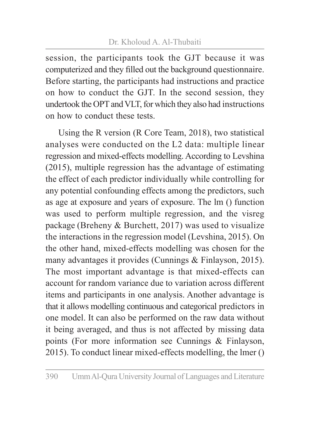session, the participants took the GJT because it was computerized and they filled out the background questionnaire. Before starting, the participants had instructions and practice on how to conduct the GJT. In the second session, they undertook the OPT and VLT, for which they also had instructions on how to conduct these tests.

Using the R version (R Core Team, 2018), two statistical analyses were conducted on the L2 data: multiple linear regression and mixed-effects modelling. According to Levshina (2015), multiple regression has the advantage of estimating the effect of each predictor individually while controlling for any potential confounding effects among the predictors, such as age at exposure and years of exposure. The lm () function was used to perform multiple regression, and the visreg package (Breheny & Burchett, 2017) was used to visualize the interactions in the regression model (Levshina, 2015). On the other hand, mixed-effects modelling was chosen for the many advantages it provides (Cunnings & Finlayson, 2015). The most important advantage is that mixed-effects can account for random variance due to variation across different items and participants in one analysis. Another advantage is that it allows modelling continuous and categorical predictors in one model. It can also be performed on the raw data without it being averaged, and thus is not affected by missing data points (For more information see Cunnings & Finlayson, 2015). To conduct linear mixed-effects modelling, the lmer ()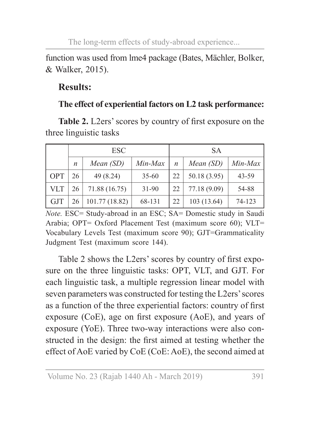function was used from lme4 package (Bates, Mächler, Bolker, & Walker, 2015).

### **Results:**

### **The effect of experiential factors on L2 task performance:**

**Table 2.** L2ers' scores by country of first exposure on the three linguistic tasks

|            | <b>ESC</b> |                |           | <b>SA</b>        |              |         |
|------------|------------|----------------|-----------|------------------|--------------|---------|
|            | n          | Mean $(SD)$    | Min-Max   | $\boldsymbol{n}$ | Mean(SD)     | Min-Max |
| <b>OPT</b> | 26         | 49 (8.24)      | $35 - 60$ | 22               | 50.18 (3.95) | 43-59   |
| <b>VLT</b> | 26         | 71.88 (16.75)  | $31 - 90$ | 22               | 77.18 (9.09) | 54-88   |
| <b>GJT</b> | 26         | 101.77 (18.82) | 68-131    | 22               | 103 (13.64)  | 74-123  |

*Note.* ESC= Study-abroad in an ESC; SA= Domestic study in Saudi Arabia; OPT= Oxford Placement Test (maximum score 60); VLT= Vocabulary Levels Test (maximum score 90); GJT=Grammaticality Judgment Test (maximum score 144).

Table 2 shows the L2ers' scores by country of first exposure on the three linguistic tasks: OPT, VLT, and GJT. For each linguistic task, a multiple regression linear model with seven parameters was constructed for testing the L2ers' scores as a function of the three experiential factors: country of first exposure (CoE), age on first exposure (AoE), and years of exposure (YoE). Three two-way interactions were also constructed in the design: the first aimed at testing whether the effect of AoE varied by CoE (CoE: AoE), the second aimed at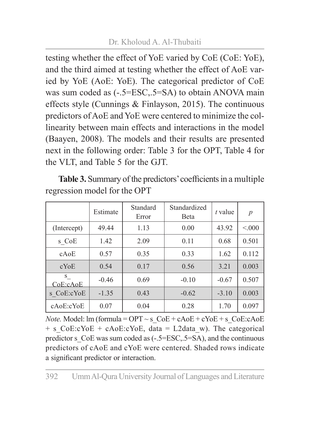testing whether the effect of YoE varied by CoE (CoE: YoE), and the third aimed at testing whether the effect of AoE varied by YoE (AoE: YoE). The categorical predictor of CoE was sum coded as  $(-.5=ESC, .5=SA)$  to obtain ANOVA main effects style (Cunnings & Finlayson, 2015). The continuous predictors of AoE and YoE were centered to minimize the collinearity between main effects and interactions in the model (Baayen, 2008). The models and their results are presented next in the following order: Table 3 for the OPT, Table 4 for the VLT, and Table 5 for the GJT.

**Table 3.** Summary of the predictors' coefficients in a multiple regression model for the OPT

|                | Estimate | Standard<br>Error | Standardized<br><b>B</b> eta | t value | $\boldsymbol{p}$ |
|----------------|----------|-------------------|------------------------------|---------|------------------|
| (Intercept)    | 49.44    | 1.13              | 0.00                         | 43.92   | < 000            |
| s CoE          | 1.42     | 2.09              | 0.11                         | 0.68    | 0.501            |
| cAoE           | 0.57     | 0.35              | 0.33                         | 1.62    | 0.112            |
| $c$ YoE        | 0.54     | 0.17              | 0.56                         | 3.21    | 0.003            |
| S.<br>CoE:cAoE | $-0.46$  | 0.69              | $-0.10$                      | $-0.67$ | 0.507            |
| s CoE:cYoE     | $-1.35$  | 0.43              | $-0.62$                      | $-3.10$ | 0.003            |
| cAoE:cYoE      | 0.07     | 0.04              | 0.28                         | 1.70    | 0.097            |

*Note.* Model:  $\text{Im}(\text{formula} = \text{OPT} \sim \text{s} \quad \text{CoE} + \text{cAoE} + \text{cYoE} + \text{s} \quad \text{CoE}: \text{cAoE}$  $+ s$  CoE:cYoE + cAoE:cYoE, data = L2data w). The categorical predictor s\_CoE was sum coded as (-.5=ESC,.5=SA), and the continuous predictors of cAoE and cYoE were centered. Shaded rows indicate a significant predictor or interaction.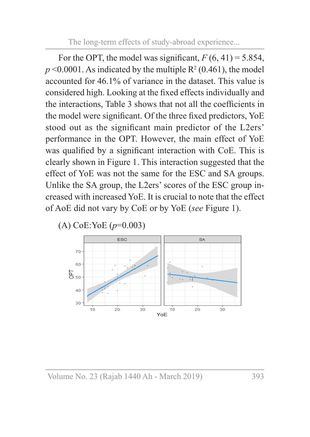For the OPT, the model was significant,  $F(6, 41) = 5.854$ ,  $p \leq 0.0001$ . As indicated by the multiple  $R^2(0.461)$ , the model accounted for 46.1% of variance in the dataset. This value is considered high. Looking at the fixed effects individually and the interactions, Table 3 shows that not all the coefficients in the model were significant. Of the three fixed predictors, YoE stood out as the significant main predictor of the L2ers' performance in the OPT. However, the main effect of YoE was qualified by a significant interaction with CoE. This is clearly shown in Figure 1. This interaction suggested that the effect of YoE was not the same for the ESC and SA groups. Unlike the SA group, the L2ers' scores of the ESC group increased with increased YoE. It is crucial to note that the effect of AoE did not vary by CoE or by YoE (*see* Figure 1).



(A) CoE:YoE (*p*=0.003)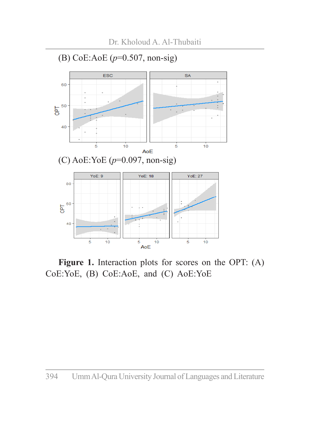

Figure 1. Interaction plots for scores on the OPT: (A) CoE:YoE, (B) CoE:AoE, and (C) AoE:YoE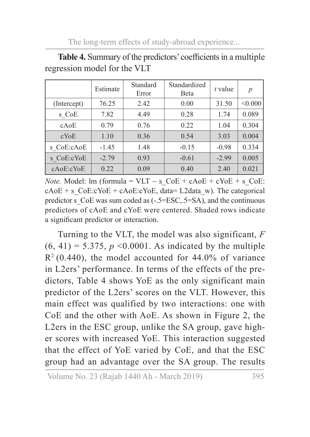|             | Estimate | Standard<br>Error | Standardized<br>Beta | t value | $\boldsymbol{p}$ |
|-------------|----------|-------------------|----------------------|---------|------------------|
| (Intercept) | 76.25    | 2.42              | 0.00                 | 31.50   | < 0.000          |
| s CoE       | 7.82     | 4.49              | 0.28                 | 1.74    | 0.089            |
| cAoE        | 0.79     | 0.76              | 0.22                 | 1.04    | 0.304            |
| $c$ YoE     | 1.10     | 0.36              | 0.54                 | 3.03    | 0.004            |
| s CoE:cAoE  | $-1.45$  | 1.48              | $-0.15$              | $-0.98$ | 0.334            |
| s CoE:cYoE  | $-2.79$  | 0.93              | $-0.61$              | $-2.99$ | 0.005            |
| cAoE:cYoE   | 0.22     | 0.09              | 0.40                 | 2.40    | 0.021            |

**Table 4.** Summary of the predictors' coefficients in a multiple regression model for the VLT

*Note.* Model:  $\text{Im}(\text{formula} = \text{VLT} \sim \text{s} \text{ } \text{CoE} + \text{cAoE} + \text{cYoE} + \text{s} \text{ } \text{CoE}:$  $cAoE + s$  CoE:cYoE + cAoE:cYoE, data= L2data w). The categorical predictor s\_CoE was sum coded as (-.5=ESC,.5=SA), and the continuous predictors of cAoE and cYoE were centered. Shaded rows indicate a significant predictor or interaction.

Turning to the VLT, the model was also significant, *F*  $(6, 41) = 5.375$ ,  $p \le 0.0001$ . As indicated by the multiple  $R<sup>2</sup>$  (0.440), the model accounted for 44.0% of variance in L2ers' performance. In terms of the effects of the predictors, Table 4 shows YoE as the only significant main predictor of the L2ers' scores on the VLT. However, this main effect was qualified by two interactions: one with CoE and the other with AoE. As shown in Figure 2, the L2ers in the ESC group, unlike the SA group, gave higher scores with increased YoE. This interaction suggested that the effect of YoE varied by CoE, and that the ESC group had an advantage over the SA group. The results

Volume No. 23 (Rajab 1440 Ah - March 2019) 395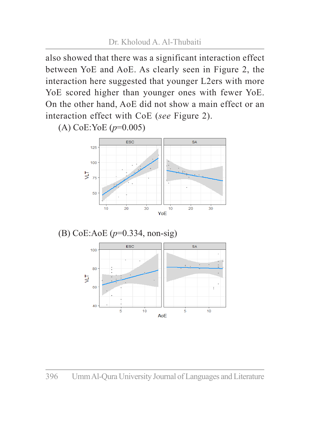also showed that there was a significant interaction effect between YoE and AoE. As clearly seen in Figure 2, the interaction here suggested that younger L2ers with more YoE scored higher than younger ones with fewer YoE. On the other hand, AoE did not show a main effect or an interaction effect with CoE (*see* Figure 2).

(A) CoE:YoE (*p*=0.005)



(B) CoE:AoE (*p*=0.334, non-sig)

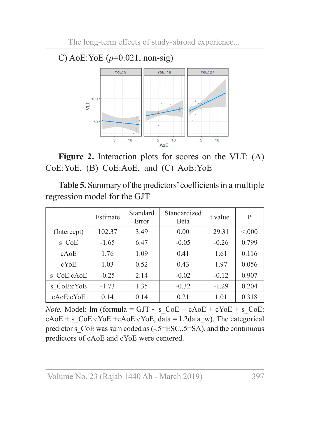



Figure 2. Interaction plots for scores on the VLT: (A) CoE:YoE, (B) CoE:AoE, and (C) AoE:YoE

**Table 5.** Summary of the predictors' coefficients in a multiple regression model for the GJT

|             | Estimate | Standard<br>Error | Standardized<br><b>B</b> eta | t value | P     |
|-------------|----------|-------------------|------------------------------|---------|-------|
| (Intercept) | 102.37   | 3.49              | 0.00                         | 29.31   | < 000 |
| s CoE       | $-1.65$  | 6.47              | $-0.05$                      | $-0.26$ | 0.799 |
| cAoE        | 1.76     | 1.09              | 0.41                         | 1.61    | 0.116 |
| $c$ YoE     | 1.03     | 0.52              | 0.43                         | 1.97    | 0.056 |
| s CoE:cAoE  | $-0.25$  | 2.14              | $-0.02$                      | $-0.12$ | 0.907 |
| s CoE:cYoE  | $-1.73$  | 1.35              | $-0.32$                      | $-1.29$ | 0.204 |
| cAoE:cYoE   | 0.14     | 0.14              | 0.21                         | 1.01    | 0.318 |

*Note.* Model:  $\text{Im}(\text{formula} = \text{GJT} \sim \text{s} \text{ } \text{CoE} + \text{cAoE} + \text{cYoE} + \text{s} \text{ } \text{CoE}:$  $cAoE + s$  CoE:cYoE +cAoE:cYoE, data = L2data w). The categorical predictor s CoE was sum coded as (-.5=ESC,.5=SA), and the continuous predictors of cAoE and cYoE were centered.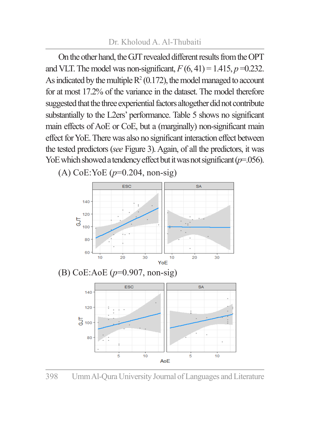On the other hand, the GJT revealed different results from the OPT and VLT. The model was non-significant,  $F(6, 41) = 1.415$ ,  $p = 0.232$ . As indicated by the multiple  $R^2(0.172)$ , the model managed to account for at most 17.2% of the variance in the dataset. The model therefore suggested that the three experiential factors altogether did not contribute substantially to the L2ers' performance. Table 5 shows no significant main effects of AoE or CoE, but a (marginally) non-significant main effect for YoE. There was also no significant interaction effect between the tested predictors (*see* Figure 3). Again, of all the predictors, it was YoE which showed a tendency effect but it was not significant  $(p=0.056)$ .



398 Umm Al-Qura University Journal of Languages and Literature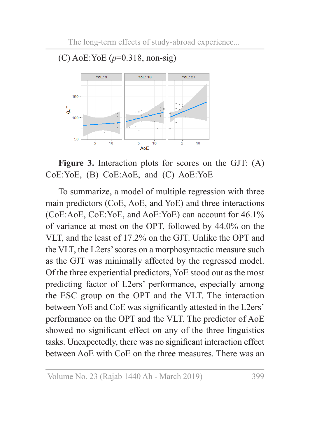

(C) AoE:YoE (*p*=0.318, non-sig)

**Figure 3.** Interaction plots for scores on the GJT: (A) CoE:YoE, (B) CoE:AoE, and (C) AoE:YoE

To summarize, a model of multiple regression with three main predictors (CoE, AoE, and YoE) and three interactions (CoE:AoE, CoE:YoE, and AoE:YoE) can account for 46.1% of variance at most on the OPT, followed by 44.0% on the VLT, and the least of 17.2% on the GJT. Unlike the OPT and the VLT, the L2ers' scores on a morphosyntactic measure such as the GJT was minimally affected by the regressed model. Of the three experiential predictors, YoE stood out as the most predicting factor of L2ers' performance, especially among the ESC group on the OPT and the VLT. The interaction between YoE and CoE was significantly attested in the L2ers' performance on the OPT and the VLT. The predictor of AoE showed no significant effect on any of the three linguistics tasks. Unexpectedly, there was no significant interaction effect between AoE with CoE on the three measures. There was an

Volume No. 23 (Rajab 1440 Ah - March 2019) 399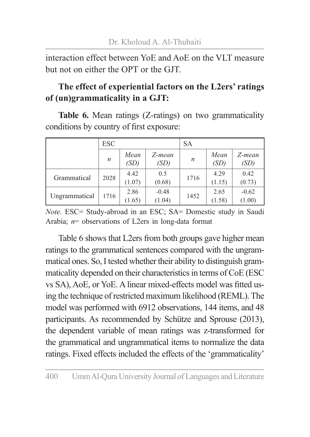interaction effect between YoE and AoE on the VLT measure but not on either the OPT or the GJT.

### **The effect of experiential factors on the L2ers' ratings of (un)grammaticality in a GJT:**

**Table 6.** Mean ratings (Z-ratings) on two grammaticality conditions by country of first exposure:

| ESC           |      |                | <b>SA</b>         |      |                |                   |
|---------------|------|----------------|-------------------|------|----------------|-------------------|
|               | n    | Mean<br>(SD)   | Z-mean<br>(SD)    | n    | Mean<br>(SD)   | Z-mean<br>(SD)    |
| Grammatical   | 2028 | 4.42<br>(1.07) | 0.5<br>(0.68)     | 1716 | 4.29<br>(1.15) | 0.42<br>(0.73)    |
| Ungrammatical | 1716 | 2.86<br>(1.65) | $-0.48$<br>(1.04) | 1452 | 2.65<br>(1.58) | $-0.62$<br>(1.00) |

*Note.* ESC= Study-abroad in an ESC; SA= Domestic study in Saudi Arabia; *n*= observations of L2ers in long-data format

Table 6 shows that L2ers from both groups gave higher mean ratings to the grammatical sentences compared with the ungrammatical ones. So, I tested whether their ability to distinguish grammaticality depended on their characteristics in terms of CoE (ESC vs SA), AoE, or YoE. A linear mixed-effects model was fitted using the technique of restricted maximum likelihood (REML). The model was performed with 6912 observations, 144 items, and 48 participants. As recommended by Schütze and Sprouse (2013), the dependent variable of mean ratings was z-transformed for the grammatical and ungrammatical items to normalize the data ratings. Fixed effects included the effects of the 'grammaticality'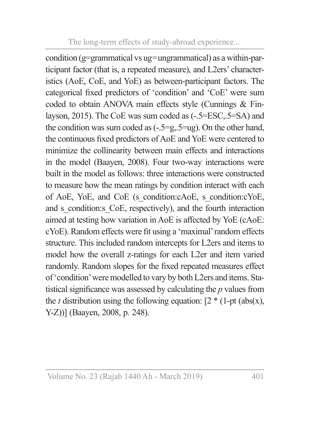condition (g=grammatical vs ug=ungrammatical) as a within-participant factor (that is, a repeated measure), and L2ers' characteristics (AoE, CoE, and YoE) as between-participant factors. The categorical fixed predictors of 'condition' and 'CoE' were sum coded to obtain ANOVA main effects style (Cunnings & Finlayson, 2015). The CoE was sum coded as (-.5=ESC,.5=SA) and the condition was sum coded as (-.5=g,.5=ug). On the other hand, the continuous fixed predictors of AoE and YoE were centered to minimize the collinearity between main effects and interactions in the model (Baayen, 2008). Four two-way interactions were built in the model as follows: three interactions were constructed to measure how the mean ratings by condition interact with each of AoE, YoE, and CoE (s\_condition:cAoE, s\_condition:cYoE, and s condition: CoE, respectively), and the fourth interaction aimed at testing how variation in AoE is affected by YoE (cAoE: cYoE). Random effects were fit using a 'maximal' random effects structure. This included random intercepts for L2ers and items to model how the overall z-ratings for each L2er and item varied randomly. Random slopes for the fixed repeated measures effect of 'condition' were modelled to vary by both L2ers and items. Statistical significance was assessed by calculating the *p* values from the *t* distribution using the following equation:  $[2 * (1-pt (abs(x))$ , Y-Z))] (Baayen, 2008, p. 248).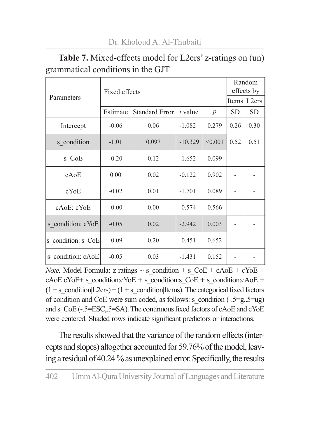|                    | Fixed effects | Random<br>effects by  |           |                  |           |           |  |
|--------------------|---------------|-----------------------|-----------|------------------|-----------|-----------|--|
| Parameters         |               |                       |           |                  |           |           |  |
|                    | Estimate      | <b>Standard Error</b> | $t$ value | $\boldsymbol{p}$ | <b>SD</b> | <b>SD</b> |  |
| Intercept          | $-0.06$       | 0.06                  | $-1.082$  | 0.279            | 0.26      | 0.30      |  |
| s condition        | $-1.01$       | 0.097                 | $-10.329$ | < 0.001          | 0.52      | 0.51      |  |
| s CoE              | $-0.20$       | 0.12                  | $-1.652$  | 0.099            |           |           |  |
| cAoE               | 0.00          | 0.02                  | $-0.122$  | 0.902            |           |           |  |
| cYoE               | $-0.02$       | 0.01                  | $-1.701$  | 0.089            |           |           |  |
| cAoE: cYoE         | $-0.00$       | 0.00                  | $-0.574$  | 0.566            |           |           |  |
| s condition: cYoE  | $-0.05$       | 0.02                  | $-2.942$  | 0.003            |           |           |  |
| s condition: s CoE | $-0.09$       | 0.20                  | $-0.451$  | 0.652            |           |           |  |
| s condition: cAoE  | $-0.05$       | 0.03                  | $-1.431$  | 0.152            |           |           |  |

**Table 7.** Mixed-effects model for L2ers' z-ratings on (un) grammatical conditions in the GJT

*Note.* Model Formula: z-ratings  $\sim$  s condition + s CoE + cAoE + cYoE +  $cAoE:cYoE+ s$  condition: $cYoE + s$  condition:s  $CoE + s$  condition: $cAoE + s$  $(1 + s \text{ condition} | L2ers) + (1 + s \text{ condition} | I tens)$ . The categorical fixed factors of condition and CoE were sum coded, as follows: s\_condition  $(-.5=g.5=ug)$ and s CoE (-.5=ESC,.5=SA). The continuous fixed factors of cAoE and cYoE were centered. Shaded rows indicate significant predictors or interactions.

The results showed that the variance of the random effects (intercepts and slopes) altogether accounted for 59.76% of the model, leaving a residual of 40.24 % as unexplained error. Specifically, the results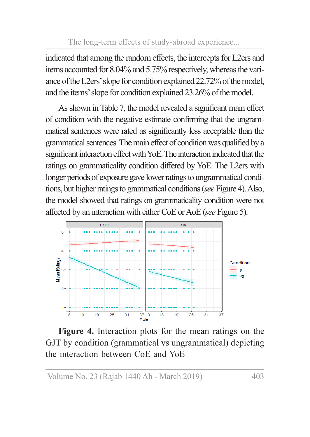indicated that among the random effects, the intercepts for L2ers and items accounted for 8.04% and 5.75% respectively, whereas the variance of the L2ers' slope for condition explained 22.72% of the model, and the items' slope for condition explained 23.26% of the model.

As shown in Table 7, the model revealed a significant main effect of condition with the negative estimate confirming that the ungrammatical sentences were rated as significantly less acceptable than the grammatical sentences. The main effect of condition was qualified by a significant interaction effect with YoE. The interaction indicated that the ratings on grammaticality condition differed by YoE. The L2ers with longer periods of exposure gave lower ratings to ungrammatical conditions, but higher ratings to grammatical conditions (*see* Figure 4). Also, the model showed that ratings on grammaticality condition were not affected by an interaction with either CoE or AoE (*see* Figure 5).



**Figure 4.** Interaction plots for the mean ratings on the GJT by condition (grammatical vs ungrammatical) depicting the interaction between CoE and YoE

Volume No. 23 (Rajab 1440 Ah - March 2019) 403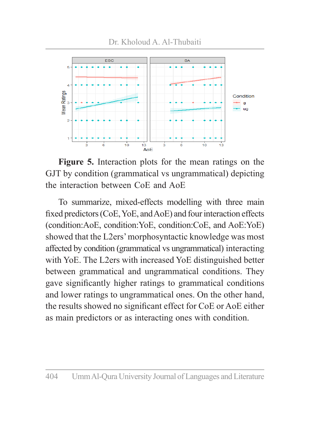

**Figure 5.** Interaction plots for the mean ratings on the GJT by condition (grammatical vs ungrammatical) depicting the interaction between CoE and AoE

To summarize, mixed-effects modelling with three main fixed predictors (CoE, YoE, and AoE) and four interaction effects (condition:AoE, condition:YoE, condition:CoE, and AoE:YoE) showed that the L2ers' morphosyntactic knowledge was most affected by condition (grammatical vs ungrammatical) interacting with YoE. The L2ers with increased YoE distinguished better between grammatical and ungrammatical conditions. They gave significantly higher ratings to grammatical conditions and lower ratings to ungrammatical ones. On the other hand, the results showed no significant effect for CoE or AoE either as main predictors or as interacting ones with condition.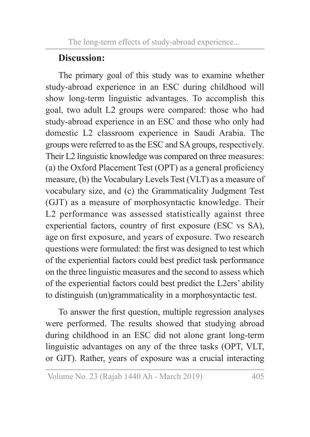# **Discussion:**

The primary goal of this study was to examine whether study-abroad experience in an ESC during childhood will show long-term linguistic advantages. To accomplish this goal, two adult L2 groups were compared: those who had study-abroad experience in an ESC and those who only had domestic L2 classroom experience in Saudi Arabia. The groups were referred to as the ESC and SA groups, respectively. Their L2 linguistic knowledge was compared on three measures: (a) the Oxford Placement Test (OPT) as a general proficiency measure, (b) the Vocabulary Levels Test (VLT) as a measure of vocabulary size, and (c) the Grammaticality Judgment Test (GJT) as a measure of morphosyntactic knowledge. Their L2 performance was assessed statistically against three experiential factors, country of first exposure (ESC vs SA), age on first exposure, and years of exposure. Two research questions were formulated: the first was designed to test which of the experiential factors could best predict task performance on the three linguistic measures and the second to assess which of the experiential factors could best predict the L2ers' ability to distinguish (un)grammaticality in a morphosyntactic test.

To answer the first question, multiple regression analyses were performed. The results showed that studying abroad during childhood in an ESC did not alone grant long-term linguistic advantages on any of the three tasks (OPT, VLT, or GJT). Rather, years of exposure was a crucial interacting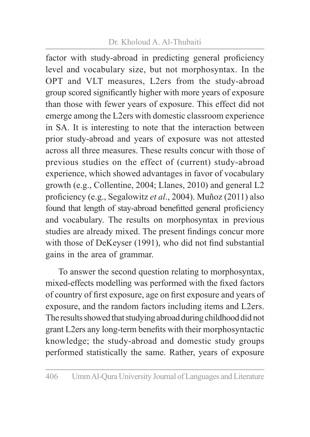### Dr. Kholoud A. Al-Thubaiti

factor with study-abroad in predicting general proficiency level and vocabulary size, but not morphosyntax. In the OPT and VLT measures, L2ers from the study-abroad group scored significantly higher with more years of exposure than those with fewer years of exposure. This effect did not emerge among the L2ers with domestic classroom experience in SA. It is interesting to note that the interaction between prior study-abroad and years of exposure was not attested across all three measures. These results concur with those of previous studies on the effect of (current) study-abroad experience, which showed advantages in favor of vocabulary growth (e.g., Collentine, 2004; Llanes, 2010) and general L2 proficiency (e.g., Segalowitz *et al*., 2004). Muñoz (2011) also found that length of stay-abroad benefitted general proficiency and vocabulary. The results on morphosyntax in previous studies are already mixed. The present findings concur more with those of DeKeyser (1991), who did not find substantial gains in the area of grammar.

To answer the second question relating to morphosyntax, mixed-effects modelling was performed with the fixed factors of country of first exposure, age on first exposure and years of exposure, and the random factors including items and L2ers. The results showed that studying abroad during childhood did not grant L2ers any long-term benefits with their morphosyntactic knowledge; the study-abroad and domestic study groups performed statistically the same. Rather, years of exposure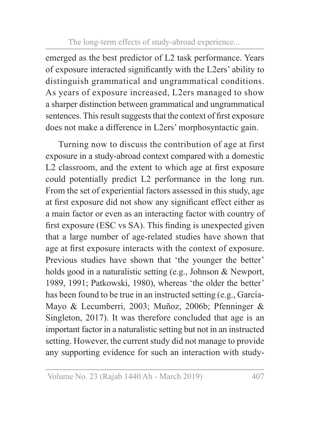emerged as the best predictor of L2 task performance. Years of exposure interacted significantly with the L2ers' ability to distinguish grammatical and ungrammatical conditions. As years of exposure increased, L2ers managed to show a sharper distinction between grammatical and ungrammatical sentences. This result suggests that the context of first exposure does not make a difference in L2ers' morphosyntactic gain.

Turning now to discuss the contribution of age at first exposure in a study-abroad context compared with a domestic L2 classroom, and the extent to which age at first exposure could potentially predict L2 performance in the long run. From the set of experiential factors assessed in this study, age at first exposure did not show any significant effect either as a main factor or even as an interacting factor with country of first exposure (ESC vs SA). This finding is unexpected given that a large number of age-related studies have shown that age at first exposure interacts with the context of exposure. Previous studies have shown that 'the younger the better' holds good in a naturalistic setting (e.g., Johnson & Newport, 1989, 1991; Patkowski, 1980), whereas 'the older the better' has been found to be true in an instructed setting (e.g., García-Mayo & Lecumberri, 2003; Muñoz, 2006b; Pfenninger & Singleton, 2017). It was therefore concluded that age is an important factor in a naturalistic setting but not in an instructed setting. However, the current study did not manage to provide any supporting evidence for such an interaction with study-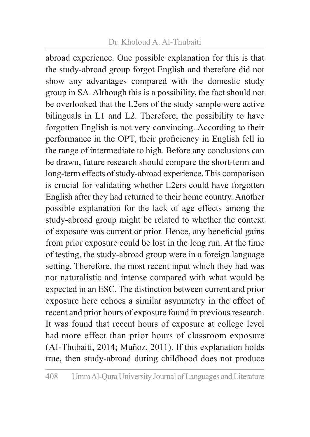#### Dr. Kholoud A. Al-Thubaiti

abroad experience. One possible explanation for this is that the study-abroad group forgot English and therefore did not show any advantages compared with the domestic study group in SA. Although this is a possibility, the fact should not be overlooked that the L2ers of the study sample were active bilinguals in L1 and L2. Therefore, the possibility to have forgotten English is not very convincing. According to their performance in the OPT, their proficiency in English fell in the range of intermediate to high. Before any conclusions can be drawn, future research should compare the short-term and long-term effects of study-abroad experience. This comparison is crucial for validating whether L2ers could have forgotten English after they had returned to their home country. Another possible explanation for the lack of age effects among the study-abroad group might be related to whether the context of exposure was current or prior. Hence, any beneficial gains from prior exposure could be lost in the long run. At the time of testing, the study-abroad group were in a foreign language setting. Therefore, the most recent input which they had was not naturalistic and intense compared with what would be expected in an ESC. The distinction between current and prior exposure here echoes a similar asymmetry in the effect of recent and prior hours of exposure found in previous research. It was found that recent hours of exposure at college level had more effect than prior hours of classroom exposure (Al-Thubaiti, 2014; Muñoz, 2011). If this explanation holds true, then study-abroad during childhood does not produce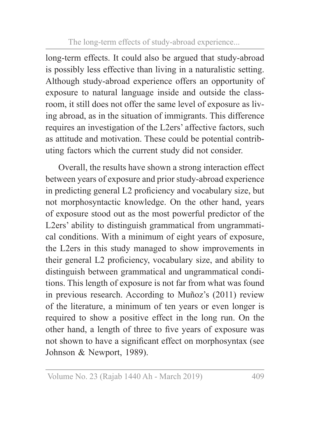long-term effects. It could also be argued that study-abroad is possibly less effective than living in a naturalistic setting. Although study-abroad experience offers an opportunity of exposure to natural language inside and outside the classroom, it still does not offer the same level of exposure as living abroad, as in the situation of immigrants. This difference requires an investigation of the L2ers' affective factors, such as attitude and motivation. These could be potential contributing factors which the current study did not consider.

Overall, the results have shown a strong interaction effect between years of exposure and prior study-abroad experience in predicting general L2 proficiency and vocabulary size, but not morphosyntactic knowledge. On the other hand, years of exposure stood out as the most powerful predictor of the L2ers' ability to distinguish grammatical from ungrammatical conditions. With a minimum of eight years of exposure, the L2ers in this study managed to show improvements in their general L2 proficiency, vocabulary size, and ability to distinguish between grammatical and ungrammatical conditions. This length of exposure is not far from what was found in previous research. According to Muñoz's (2011) review of the literature, a minimum of ten years or even longer is required to show a positive effect in the long run. On the other hand, a length of three to five years of exposure was not shown to have a significant effect on morphosyntax (see Johnson & Newport, 1989).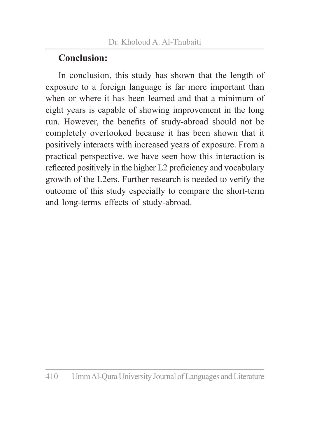# **Conclusion:**

In conclusion, this study has shown that the length of exposure to a foreign language is far more important than when or where it has been learned and that a minimum of eight years is capable of showing improvement in the long run. However, the benefits of study-abroad should not be completely overlooked because it has been shown that it positively interacts with increased years of exposure. From a practical perspective, we have seen how this interaction is reflected positively in the higher L2 proficiency and vocabulary growth of the L2ers. Further research is needed to verify the outcome of this study especially to compare the short-term and long-terms effects of study-abroad.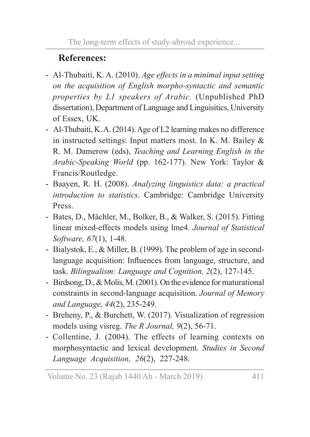# **References:**

- Al-Thubaiti, K. A. (2010). *Age effects in a minimal input setting on the acquisition of English morpho-syntactic and semantic properties by L1 speakers of Arabic.* (Unpublished PhD dissertation), Department of Language and Linguisitics, University of Essex, UK.
- Al-Thubaiti, K. A. (2014). Age of L2 learning makes no difference in instructed settings: Input matters most. In K. M. Bailey & R. M. Damerow (eds), *Teaching and Learning English in the Arabic-Speaking World* (pp. 162-177). New York: Taylor & Francis/Routledge.
- Baayen, R. H. (2008). *Analyzing linguistics data: a practical introduction to statistics*. Cambridge: Cambridge University Press.
- Bates, D., Mächler, M., Bolker, B., & Walker, S. (2015). Fitting linear mixed-effects models using lme4. *Journal of Statistical Software, 67*(1), 1-48.
- Bialystok, E., & Miller, B. (1999). The problem of age in secondlanguage acquisition: Influences from language, structure, and task. *Bilingualism: Language and Cognition, 2*(2), 127-145.
- Birdsong, D., & Molis, M. (2001). On the evidence for maturational constraints in second-language acquisition. *Journal of Memory and Language, 44*(2), 235-249.
- Breheny, P., & Burchett, W. (2017). Visualization of regression models using visreg. *The R Journal, 9*(2), 56-71.
- Collentine, J. (2004). The effects of learning contexts on morphosyntactic and lexical development. *Studies in Second Language Acquisition, 26*(2), 227-248.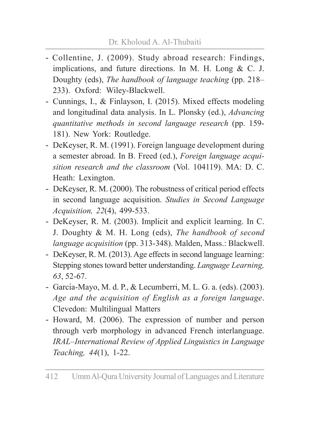- Collentine, J. (2009). Study abroad research: Findings, implications, and future directions. In M. H. Long & C. J. Doughty (eds), *The handbook of language teaching* (pp. 218– 233). Oxford: Wiley-Blackwell.
- Cunnings, I., & Finlayson, I. (2015). Mixed effects modeling and longitudinal data analysis. In L. Plonsky (ed.), *Advancing quantitative methods in second language research* (pp. 159- 181). New York: Routledge.
- DeKeyser, R. M. (1991). Foreign language development during a semester abroad. In B. Freed (ed.), *Foreign language acquisition research and the classroom* (Vol. 104119). MA: D. C. Heath: Lexington.
- DeKeyser, R. M. (2000). The robustness of critical period effects in second language acquisition. *Studies in Second Language Acquisition, 22*(4), 499-533.
- DeKeyser, R. M. (2003). Implicit and explicit learning. In C. J. Doughty & M. H. Long (eds), *The handbook of second language acquisition* (pp. 313-348). Malden, Mass.: Blackwell.
- DeKeyser, R. M. (2013). Age effects in second language learning: Stepping stones toward better understanding. *Language Learning, 63*, 52-67.
- García-Mayo, M. d. P., & Lecumberri, M. L. G. a. (eds). (2003). *Age and the acquisition of English as a foreign language*. Clevedon: Multilingual Matters
- Howard, M. (2006). The expression of number and person through verb morphology in advanced French interlanguage. *IRAL–International Review of Applied Linguistics in Language Teaching, 44*(1), 1-22.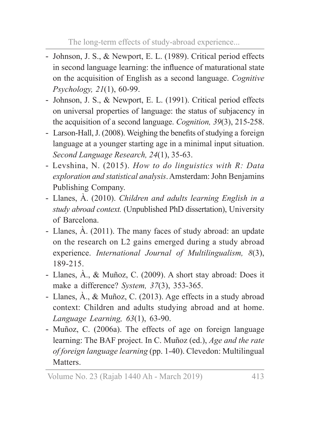- Johnson, J. S., & Newport, E. L. (1989). Critical period effects in second language learning: the influence of maturational state on the acquisition of English as a second language. *Cognitive Psychology, 21*(1), 60-99.
- Johnson, J. S., & Newport, E. L. (1991). Critical period effects on universal properties of language: the status of subjacency in the acquisition of a second language. *Cognition, 39*(3), 215-258.
- Larson-Hall, J. (2008). Weighing the benefits of studying a foreign language at a younger starting age in a minimal input situation. *Second Language Research, 24*(1), 35-63.
- Levshina, N. (2015). *How to do linguistics with R: Data exploration and statistical analysis*. Amsterdam: John Benjamins Publishing Company.
- Llanes, À. (2010). *Children and adults learning English in a study abroad context.* (Unpublished PhD dissertation), University of Barcelona.
- Llanes, À. (2011). The many faces of study abroad: an update on the research on L2 gains emerged during a study abroad experience. *International Journal of Multilingualism, 8*(3), 189-215.
- Llanes, À., & Muñoz, C. (2009). A short stay abroad: Does it make a difference? *System, 37*(3), 353-365.
- Llanes, À., & Muñoz, C. (2013). Age effects in a study abroad context: Children and adults studying abroad and at home. *Language Learning, 63*(1), 63-90.
- Muñoz, C. (2006a). The effects of age on foreign language learning: The BAF project. In C. Muñoz (ed.), *Age and the rate of foreign language learning* (pp. 1-40). Clevedon: Multilingual Matters.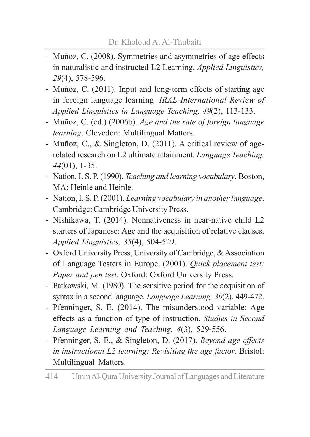- Muñoz, C. (2008). Symmetries and asymmetries of age effects in naturalistic and instructed L2 Learning. *Applied Linguistics, 29*(4), 578-596.
- Muñoz, C. (2011). Input and long-term effects of starting age in foreign language learning. *IRAL-International Review of Applied Linguistics in Language Teaching, 49*(2), 113-133.
- Muñoz, C. (ed.) (2006b). *Age and the rate of foreign language learning*. Clevedon: Multilingual Matters.
- Muñoz, C., & Singleton, D. (2011). A critical review of agerelated research on L2 ultimate attainment. *Language Teaching, 44*(01), 1-35.
- Nation, I. S. P. (1990). *Teaching and learning vocabulary*. Boston, MA: Heinle and Heinle.
- Nation, I. S. P. (2001). *Learning vocabulary in another language*. Cambridge: Cambridge University Press.
- Nishikawa, T. (2014). Nonnativeness in near-native child L2 starters of Japanese: Age and the acquisition of relative clauses. *Applied Linguistics, 35*(4), 504-529.
- Oxford University Press, University of Cambridge, & Association of Language Testers in Europe. (2001). *Quick placement test: Paper and pen test*. Oxford: Oxford University Press.
- Patkowski, M. (1980). The sensitive period for the acquisition of syntax in a second language. *Language Learning, 30*(2), 449-472.
- Pfenninger, S. E. (2014). The misunderstood variable: Age effects as a function of type of instruction. *Studies in Second Language Learning and Teaching, 4*(3), 529-556.
- Pfenninger, S. E., & Singleton, D. (2017). *Beyond age effects in instructional L2 learning: Revisiting the age factor*. Bristol: Multilingual Matters.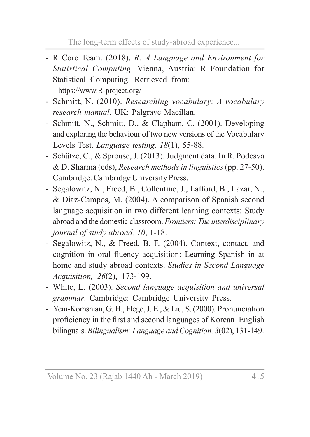- R Core Team. (2018). *R: A Language and Environment for Statistical Computing*. Vienna, Austria: R Foundation for Statistical Computing. Retrieved from: https://www.R-project.org/
- Schmitt, N. (2010). *Researching vocabulary: A vocabulary research manual*. UK: Palgrave Macillan.
- Schmitt, N., Schmitt, D., & Clapham, C. (2001). Developing and exploring the behaviour of two new versions of the Vocabulary Levels Test. *Language testing, 18*(1), 55-88.
- Schütze, C., & Sprouse, J. (2013). Judgment data. In R. Podesva & D. Sharma (eds), *Research methods in linguistics* (pp. 27-50). Cambridge: Cambridge University Press.
- Segalowitz, N., Freed, B., Collentine, J., Lafford, B., Lazar, N., & Díaz-Campos, M. (2004). A comparison of Spanish second language acquisition in two different learning contexts: Study abroad and the domestic classroom. *Frontiers: The interdisciplinary journal of study abroad, 10*, 1-18.
- Segalowitz, N., & Freed, B. F. (2004). Context, contact, and cognition in oral fluency acquisition: Learning Spanish in at home and study abroad contexts. *Studies in Second Language Acquisition, 26*(2), 173-199.
- White, L. (2003). *Second language acquisition and universal grammar*. Cambridge: Cambridge University Press.
- Yeni-Komshian, G. H., Flege, J. E., & Liu, S. (2000). Pronunciation proficiency in the first and second languages of Korean–English bilinguals. *Bilingualism: Language and Cognition, 3*(02), 131-149.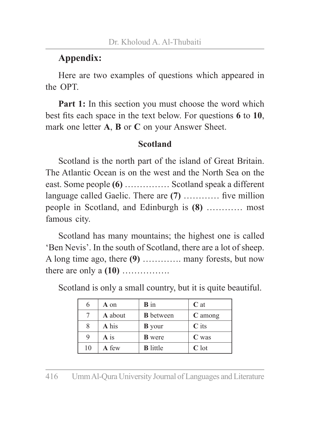# **Appendix:**

Here are two examples of questions which appeared in the OPT.

**Part 1:** In this section you must choose the word which best fits each space in the text below. For questions **6** to **10**, mark one letter **A**, **B** or **C** on your Answer Sheet.

#### **Scotland**

Scotland is the north part of the island of Great Britain. The Atlantic Ocean is on the west and the North Sea on the east. Some people **(6)** …………… Scotland speak a different language called Gaelic. There are **(7)** ………… five million people in Scotland, and Edinburgh is **(8)** ………… most famous city.

Scotland has many mountains; the highest one is called 'Ben Nevis'. In the south of Scotland, there are a lot of sheep. A long time ago, there **(9)** …………. many forests, but now there are only a **(10)** …………….

|    | A on              | <b>B</b> in      | $C$ at  |
|----|-------------------|------------------|---------|
|    | A about           | <b>B</b> between | C among |
|    | A his             | <b>B</b> your    | $C$ its |
| 9  | $\overline{A}$ is | <b>B</b> were    | $C$ was |
| 10 | A few             | <b>B</b> little  | $C$ lot |

Scotland is only a small country, but it is quite beautiful.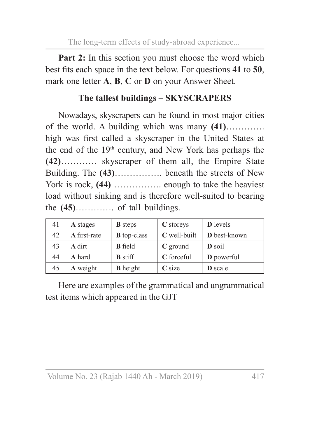**Part 2:** In this section you must choose the word which best fits each space in the text below. For questions **41** to **50**, mark one letter **A**, **B**, **C** or **D** on your Answer Sheet.

# **The tallest buildings – SKYSCRAPERS**

Nowadays, skyscrapers can be found in most major cities of the world. A building which was many **(41)**…………. high was first called a skyscraper in the United States at the end of the 19th century, and New York has perhaps the **(42)**………… skyscraper of them all, the Empire State Building. The **(43)**……………. beneath the streets of New York is rock, **(44)** ................. enough to take the heaviest load without sinking and is therefore well-suited to bearing the **(45)**…………. of tall buildings.

| 41 | A stages     | <b>B</b> steps     | C storeys    | <b>D</b> levels   |
|----|--------------|--------------------|--------------|-------------------|
| 42 | A first-rate | <b>B</b> top-class | C well-built | D best-known      |
| 43 | A dirt       | <b>B</b> field     | $C$ ground   | D soil            |
| 44 | A hard       | <b>B</b> stiff     | C forceful   | <b>D</b> powerful |
| 45 | A weight     | <b>B</b> height    | $C$ size     | <b>D</b> scale    |

Here are examples of the grammatical and ungrammatical test items which appeared in the GJT